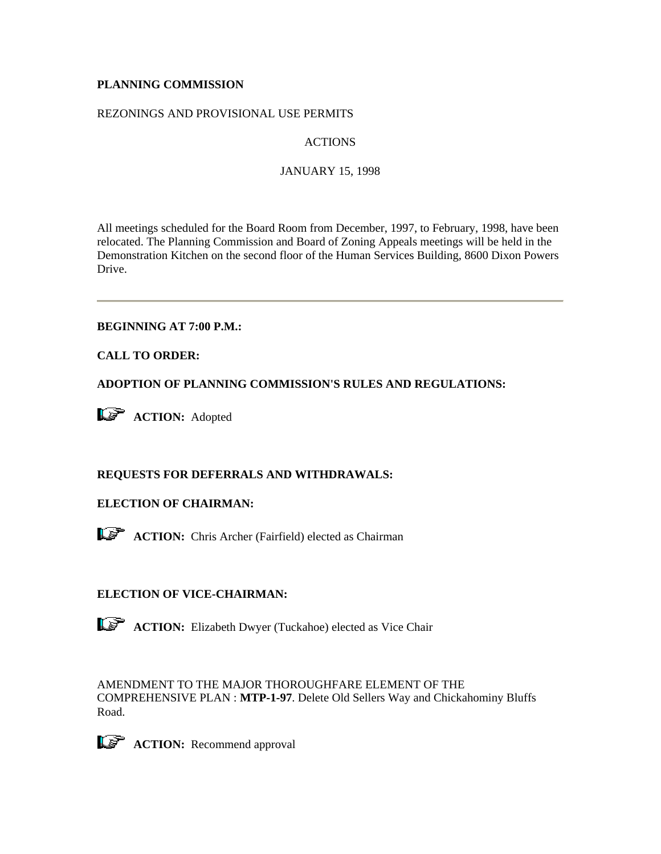# **PLANNING COMMISSION**

## REZONINGS AND PROVISIONAL USE PERMITS

# ACTIONS

## JANUARY 15, 1998

All meetings scheduled for the Board Room from December, 1997, to February, 1998, have been relocated. The Planning Commission and Board of Zoning Appeals meetings will be held in the Demonstration Kitchen on the second floor of the Human Services Building, 8600 Dixon Powers Drive.

# **BEGINNING AT 7:00 P.M.:**

## **CALL TO ORDER:**

## **ADOPTION OF PLANNING COMMISSION'S RULES AND REGULATIONS:**



# **REQUESTS FOR DEFERRALS AND WITHDRAWALS:**

# **ELECTION OF CHAIRMAN:**

**ACTION:** Chris Archer (Fairfield) elected as Chairman

# **ELECTION OF VICE-CHAIRMAN:**



AMENDMENT TO THE MAJOR THOROUGHFARE ELEMENT OF THE COMPREHENSIVE PLAN : **MTP-1-97**. Delete Old Sellers Way and Chickahominy Bluffs Road.

**ACTION:** Recommend approval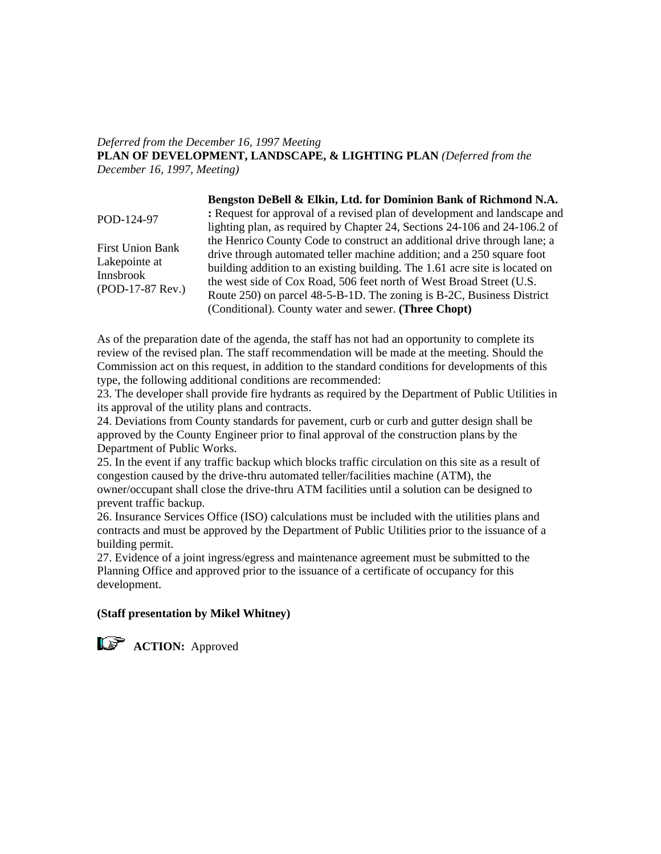#### *Deferred from the December 16, 1997 Meeting*

**PLAN OF DEVELOPMENT, LANDSCAPE, & LIGHTING PLAN** *(Deferred from the December 16, 1997, Meeting)*

| Bengston DeBell & Elkin, Ltd. for Dominion Bank of Richmond N.A.            |
|-----------------------------------------------------------------------------|
| : Request for approval of a revised plan of development and landscape and   |
| lighting plan, as required by Chapter 24, Sections 24-106 and 24-106.2 of   |
| the Henrico County Code to construct an additional drive through lane; a    |
| drive through automated teller machine addition; and a 250 square foot      |
| building addition to an existing building. The 1.61 acre site is located on |
| the west side of Cox Road, 506 feet north of West Broad Street (U.S.        |
| Route 250) on parcel 48-5-B-1D. The zoning is B-2C, Business District       |
| (Conditional). County water and sewer. (Three Chopt)                        |
|                                                                             |

As of the preparation date of the agenda, the staff has not had an opportunity to complete its review of the revised plan. The staff recommendation will be made at the meeting. Should the Commission act on this request, in addition to the standard conditions for developments of this type, the following additional conditions are recommended:

23. The developer shall provide fire hydrants as required by the Department of Public Utilities in its approval of the utility plans and contracts.

24. Deviations from County standards for pavement, curb or curb and gutter design shall be approved by the County Engineer prior to final approval of the construction plans by the Department of Public Works.

25. In the event if any traffic backup which blocks traffic circulation on this site as a result of congestion caused by the drive-thru automated teller/facilities machine (ATM), the owner/occupant shall close the drive-thru ATM facilities until a solution can be designed to prevent traffic backup.

26. Insurance Services Office (ISO) calculations must be included with the utilities plans and contracts and must be approved by the Department of Public Utilities prior to the issuance of a building permit.

27. Evidence of a joint ingress/egress and maintenance agreement must be submitted to the Planning Office and approved prior to the issuance of a certificate of occupancy for this development.

### **(Staff presentation by Mikel Whitney)**

**ACTION:** Approved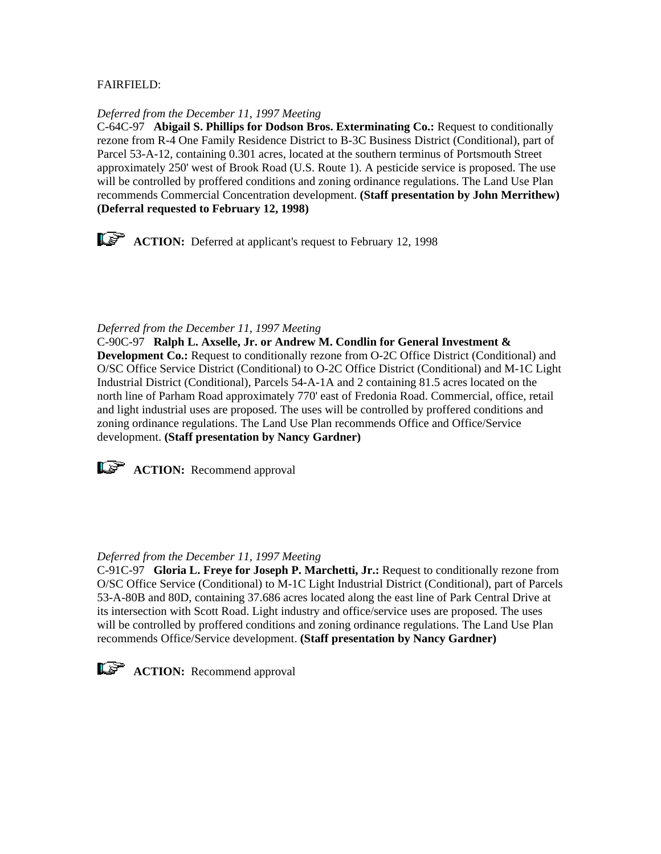# FAIRFIELD:

### *Deferred from the December 11, 1997 Meeting*

C-64C-97 **Abigail S. Phillips for Dodson Bros. Exterminating Co.:** Request to conditionally rezone from R-4 One Family Residence District to B-3C Business District (Conditional), part of Parcel 53-A-12, containing 0.301 acres, located at the southern terminus of Portsmouth Street approximately 250' west of Brook Road (U.S. Route 1). A pesticide service is proposed. The use will be controlled by proffered conditions and zoning ordinance regulations. The Land Use Plan recommends Commercial Concentration development. **(Staff presentation by John Merrithew) (Deferral requested to February 12, 1998)** 

**ACTION:** Deferred at applicant's request to February 12, 1998

### *Deferred from the December 11, 1997 Meeting*

C-90C-97 **Ralph L. Axselle, Jr. or Andrew M. Condlin for General Investment & Development Co.:** Request to conditionally rezone from O-2C Office District (Conditional) and O/SC Office Service District (Conditional) to O-2C Office District (Conditional) and M-1C Light Industrial District (Conditional), Parcels 54-A-1A and 2 containing 81.5 acres located on the north line of Parham Road approximately 770' east of Fredonia Road. Commercial, office, retail and light industrial uses are proposed. The uses will be controlled by proffered conditions and zoning ordinance regulations. The Land Use Plan recommends Office and Office/Service development. **(Staff presentation by Nancy Gardner)**

**ACTION:** Recommend approval

## *Deferred from the December 11, 1997 Meeting*

C-91C-97 **Gloria L. Freye for Joseph P. Marchetti, Jr.:** Request to conditionally rezone from O/SC Office Service (Conditional) to M-1C Light Industrial District (Conditional), part of Parcels 53-A-80B and 80D, containing 37.686 acres located along the east line of Park Central Drive at its intersection with Scott Road. Light industry and office/service uses are proposed. The uses will be controlled by proffered conditions and zoning ordinance regulations. The Land Use Plan recommends Office/Service development. **(Staff presentation by Nancy Gardner)**



**ACTION:** Recommend approval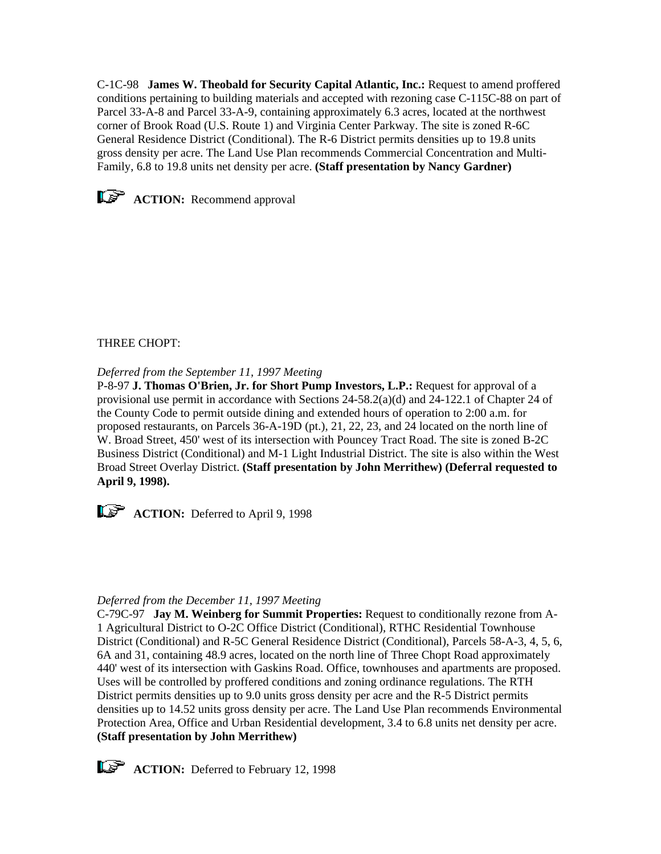C-1C-98 **James W. Theobald for Security Capital Atlantic, Inc.:** Request to amend proffered conditions pertaining to building materials and accepted with rezoning case C-115C-88 on part of Parcel 33-A-8 and Parcel 33-A-9, containing approximately 6.3 acres, located at the northwest corner of Brook Road (U.S. Route 1) and Virginia Center Parkway. The site is zoned R-6C General Residence District (Conditional). The R-6 District permits densities up to 19.8 units gross density per acre. The Land Use Plan recommends Commercial Concentration and Multi-Family, 6.8 to 19.8 units net density per acre. **(Staff presentation by Nancy Gardner)**



**ACTION:** Recommend approval

## THREE CHOPT:

*Deferred from the September 11, 1997 Meeting*

P-8-97 **J. Thomas O'Brien, Jr. for Short Pump Investors, L.P.:** Request for approval of a provisional use permit in accordance with Sections 24-58.2(a)(d) and 24-122.1 of Chapter 24 of the County Code to permit outside dining and extended hours of operation to 2:00 a.m. for proposed restaurants, on Parcels 36-A-19D (pt.), 21, 22, 23, and 24 located on the north line of W. Broad Street, 450' west of its intersection with Pouncey Tract Road. The site is zoned B-2C Business District (Conditional) and M-1 Light Industrial District. The site is also within the West Broad Street Overlay District. **(Staff presentation by John Merrithew) (Deferral requested to April 9, 1998).**



**ACTION:** Deferred to April 9, 1998

#### *Deferred from the December 11, 1997 Meeting*

C-79C-97 **Jay M. Weinberg for Summit Properties:** Request to conditionally rezone from A-1 Agricultural District to O-2C Office District (Conditional), RTHC Residential Townhouse District (Conditional) and R-5C General Residence District (Conditional), Parcels 58-A-3, 4, 5, 6, 6A and 31, containing 48.9 acres, located on the north line of Three Chopt Road approximately 440' west of its intersection with Gaskins Road. Office, townhouses and apartments are proposed. Uses will be controlled by proffered conditions and zoning ordinance regulations. The RTH District permits densities up to 9.0 units gross density per acre and the R-5 District permits densities up to 14.52 units gross density per acre. The Land Use Plan recommends Environmental Protection Area, Office and Urban Residential development, 3.4 to 6.8 units net density per acre. **(Staff presentation by John Merrithew)**



**ACTION:** Deferred to February 12, 1998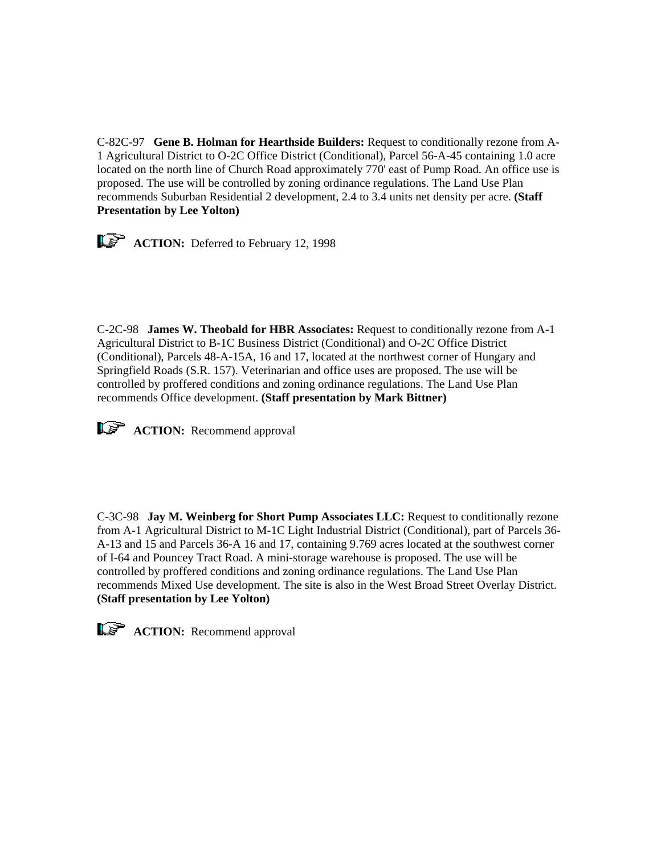C-82C-97 **Gene B. Holman for Hearthside Builders:** Request to conditionally rezone from A-1 Agricultural District to O-2C Office District (Conditional), Parcel 56-A-45 containing 1.0 acre located on the north line of Church Road approximately 770' east of Pump Road. An office use is proposed. The use will be controlled by zoning ordinance regulations. The Land Use Plan recommends Suburban Residential 2 development, 2.4 to 3.4 units net density per acre. **(Staff Presentation by Lee Yolton)**

**ACTION:** Deferred to February 12, 1998

C-2C-98 **James W. Theobald for HBR Associates:** Request to conditionally rezone from A-1 Agricultural District to B-1C Business District (Conditional) and O-2C Office District (Conditional), Parcels 48-A-15A, 16 and 17, located at the northwest corner of Hungary and Springfield Roads (S.R. 157). Veterinarian and office uses are proposed. The use will be controlled by proffered conditions and zoning ordinance regulations. The Land Use Plan recommends Office development. **(Staff presentation by Mark Bittner)** 



**ACTION:** Recommend approval

C-3C-98 **Jay M. Weinberg for Short Pump Associates LLC:** Request to conditionally rezone from A-1 Agricultural District to M-1C Light Industrial District (Conditional), part of Parcels 36- A-13 and 15 and Parcels 36-A 16 and 17, containing 9.769 acres located at the southwest corner of I-64 and Pouncey Tract Road. A mini-storage warehouse is proposed. The use will be controlled by proffered conditions and zoning ordinance regulations. The Land Use Plan recommends Mixed Use development. The site is also in the West Broad Street Overlay District. **(Staff presentation by Lee Yolton)**

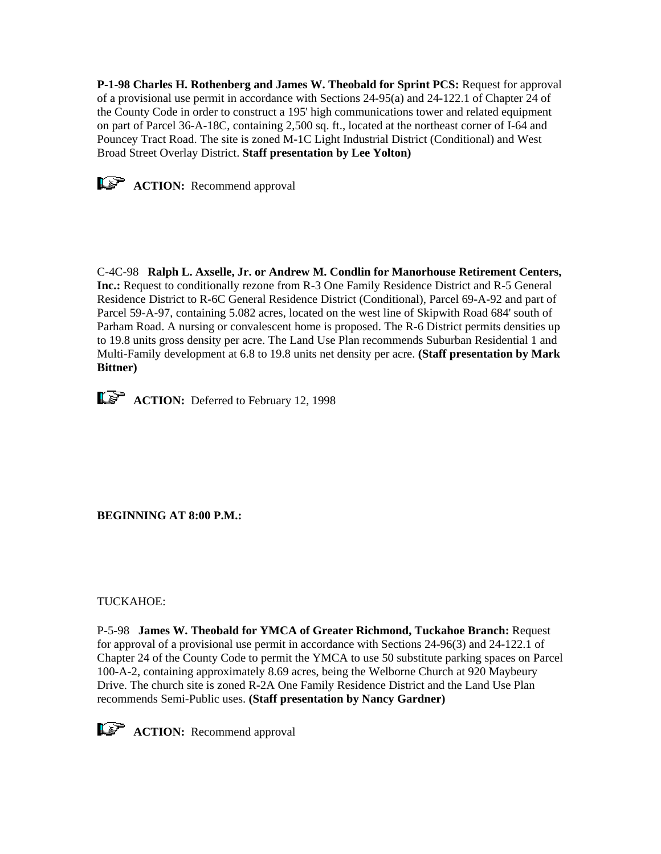**P-1-98 Charles H. Rothenberg and James W. Theobald for Sprint PCS:** Request for approval of a provisional use permit in accordance with Sections 24-95(a) and 24-122.1 of Chapter 24 of the County Code in order to construct a 195' high communications tower and related equipment on part of Parcel 36-A-18C, containing 2,500 sq. ft., located at the northeast corner of I-64 and Pouncey Tract Road. The site is zoned M-1C Light Industrial District (Conditional) and West Broad Street Overlay District. **Staff presentation by Lee Yolton)**



C-4C-98 **Ralph L. Axselle, Jr. or Andrew M. Condlin for Manorhouse Retirement Centers, Inc.:** Request to conditionally rezone from R-3 One Family Residence District and R-5 General Residence District to R-6C General Residence District (Conditional), Parcel 69-A-92 and part of Parcel 59-A-97, containing 5.082 acres, located on the west line of Skipwith Road 684' south of Parham Road. A nursing or convalescent home is proposed. The R-6 District permits densities up to 19.8 units gross density per acre. The Land Use Plan recommends Suburban Residential 1 and Multi-Family development at 6.8 to 19.8 units net density per acre. **(Staff presentation by Mark Bittner)**

**ACTION:** Deferred to February 12, 1998

**BEGINNING AT 8:00 P.M.:**

TUCKAHOE:

P-5-98 **James W. Theobald for YMCA of Greater Richmond, Tuckahoe Branch:** Request for approval of a provisional use permit in accordance with Sections 24-96(3) and 24-122.1 of Chapter 24 of the County Code to permit the YMCA to use 50 substitute parking spaces on Parcel 100-A-2, containing approximately 8.69 acres, being the Welborne Church at 920 Maybeury Drive. The church site is zoned R-2A One Family Residence District and the Land Use Plan recommends Semi-Public uses. **(Staff presentation by Nancy Gardner)**



**ACTION:** Recommend approval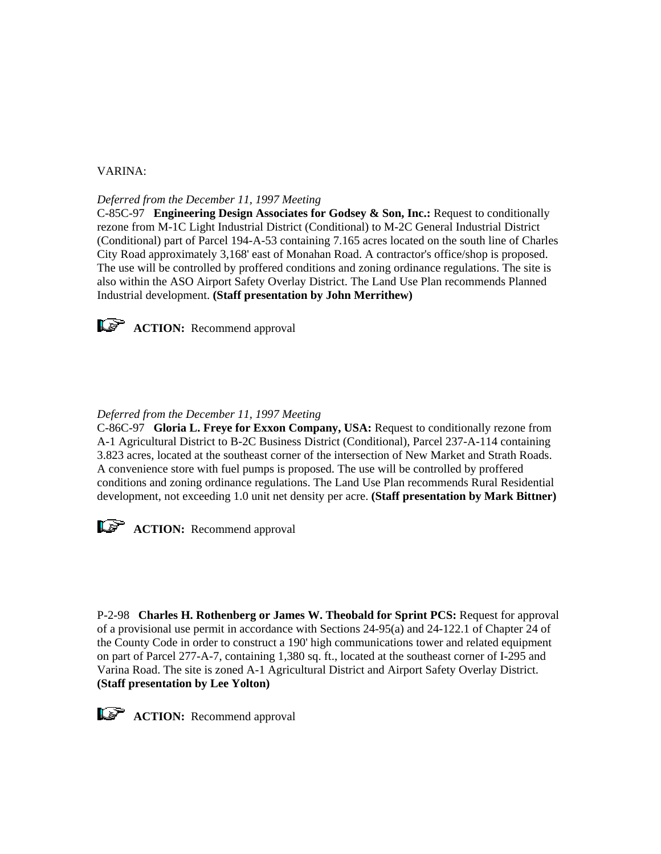## VARINA:

*Deferred from the December 11, 1997 Meeting*

C-85C-97 **Engineering Design Associates for Godsey & Son, Inc.:** Request to conditionally rezone from M-1C Light Industrial District (Conditional) to M-2C General Industrial District (Conditional) part of Parcel 194-A-53 containing 7.165 acres located on the south line of Charles City Road approximately 3,168' east of Monahan Road. A contractor's office/shop is proposed. The use will be controlled by proffered conditions and zoning ordinance regulations. The site is also within the ASO Airport Safety Overlay District. The Land Use Plan recommends Planned Industrial development. **(Staff presentation by John Merrithew)**



**ACTION:** Recommend approval

## *Deferred from the December 11, 1997 Meeting*

C-86C-97 **Gloria L. Freye for Exxon Company, USA:** Request to conditionally rezone from A-1 Agricultural District to B-2C Business District (Conditional), Parcel 237-A-114 containing 3.823 acres, located at the southeast corner of the intersection of New Market and Strath Roads. A convenience store with fuel pumps is proposed. The use will be controlled by proffered conditions and zoning ordinance regulations. The Land Use Plan recommends Rural Residential development, not exceeding 1.0 unit net density per acre. **(Staff presentation by Mark Bittner)**



**ACTION:** Recommend approval

P-2-98 **Charles H. Rothenberg or James W. Theobald for Sprint PCS:** Request for approval of a provisional use permit in accordance with Sections 24-95(a) and 24-122.1 of Chapter 24 of the County Code in order to construct a 190' high communications tower and related equipment on part of Parcel 277-A-7, containing 1,380 sq. ft., located at the southeast corner of I-295 and Varina Road. The site is zoned A-1 Agricultural District and Airport Safety Overlay District. **(Staff presentation by Lee Yolton)** 

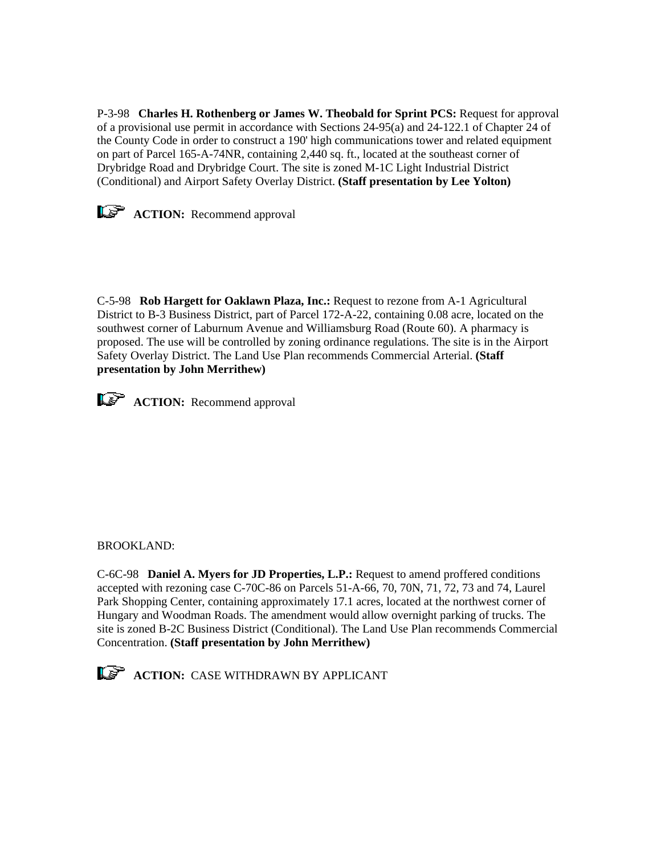P-3-98 **Charles H. Rothenberg or James W. Theobald for Sprint PCS:** Request for approval of a provisional use permit in accordance with Sections 24-95(a) and 24-122.1 of Chapter 24 of the County Code in order to construct a 190' high communications tower and related equipment on part of Parcel 165-A-74NR, containing 2,440 sq. ft., located at the southeast corner of Drybridge Road and Drybridge Court. The site is zoned M-1C Light Industrial District (Conditional) and Airport Safety Overlay District. **(Staff presentation by Lee Yolton)**



**ACTION:** Recommend approval

C-5-98 **Rob Hargett for Oaklawn Plaza, Inc.:** Request to rezone from A-1 Agricultural District to B-3 Business District, part of Parcel 172-A-22, containing 0.08 acre, located on the southwest corner of Laburnum Avenue and Williamsburg Road (Route 60). A pharmacy is proposed. The use will be controlled by zoning ordinance regulations. The site is in the Airport Safety Overlay District. The Land Use Plan recommends Commercial Arterial. **(Staff presentation by John Merrithew)**



# BROOKLAND:

C-6C-98 **Daniel A. Myers for JD Properties, L.P.:** Request to amend proffered conditions accepted with rezoning case C-70C-86 on Parcels 51-A-66, 70, 70N, 71, 72, 73 and 74, Laurel Park Shopping Center, containing approximately 17.1 acres, located at the northwest corner of Hungary and Woodman Roads. The amendment would allow overnight parking of trucks. The site is zoned B-2C Business District (Conditional). The Land Use Plan recommends Commercial Concentration. **(Staff presentation by John Merrithew)** 



**ACTION:** CASE WITHDRAWN BY APPLICANT